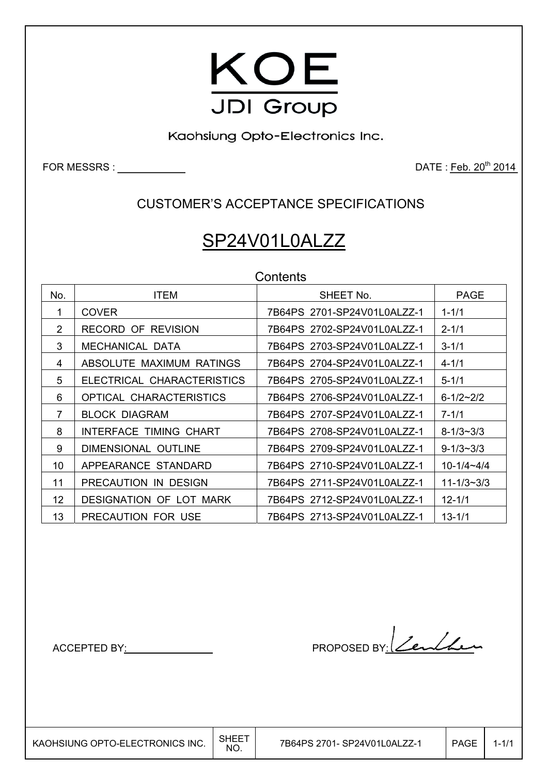

Kaohsiung Opto-Electronics Inc.

FOR MESSRS :  $\qquad \qquad$ 

CUSTOMER'S ACCEPTANCE SPECIFICATIONS

# SP24V01L0ALZZ

| Contents |
|----------|
|----------|

| No.             | <b>ITEM</b>                    | SHEET No.                   | <b>PAGE</b>        |
|-----------------|--------------------------------|-----------------------------|--------------------|
|                 | <b>COVER</b>                   | 7B64PS 2701-SP24V01L0ALZZ-1 | $1 - 1/1$          |
| 2               | <b>RECORD OF REVISION</b>      | 7B64PS 2702-SP24V01L0ALZZ-1 | $2 - 1/1$          |
| 3               | MECHANICAL DATA                | 7B64PS 2703-SP24V01L0ALZZ-1 | $3 - 1/1$          |
| 4               | ABSOLUTE MAXIMUM RATINGS       | 7B64PS 2704-SP24V01L0ALZZ-1 | $4 - 1/1$          |
| 5               | ELECTRICAL CHARACTERISTICS     | 7B64PS 2705-SP24V01L0ALZZ-1 | $5 - 1/1$          |
| 6               | OPTICAL CHARACTERISTICS        | 7B64PS 2706-SP24V01L0ALZZ-1 | $6 - 1/2 \sim 2/2$ |
| 7               | <b>BLOCK DIAGRAM</b>           | 7B64PS 2707-SP24V01L0ALZZ-1 | $7 - 1/1$          |
| 8               | INTERFACE TIMING CHART         | 7B64PS 2708-SP24V01L0ALZZ-1 | $8 - 1/3 \sim 3/3$ |
| 9               | DIMENSIONAL OUTLINE            | 7B64PS 2709-SP24V01L0ALZZ-1 | $9 - 1/3 \sim 3/3$ |
| 10              | APPEARANCE STANDARD            | 7B64PS 2710-SP24V01L0ALZZ-1 | $10 - 1/4 - 4/4$   |
| 11              | PRECAUTION IN DESIGN           | 7B64PS 2711-SP24V01L0ALZZ-1 | $11 - 1/3 - 3/3$   |
| 12 <sub>2</sub> | <b>DESIGNATION OF LOT MARK</b> | 7B64PS 2712-SP24V01L0ALZZ-1 | $12 - 1/1$         |
| 13              | PRECAUTION FOR USE             | 7B64PS 2713-SP24V01L0ALZZ-1 | $13 - 1/1$         |

ACCEPTED BY: PROPOSED BY: Zenther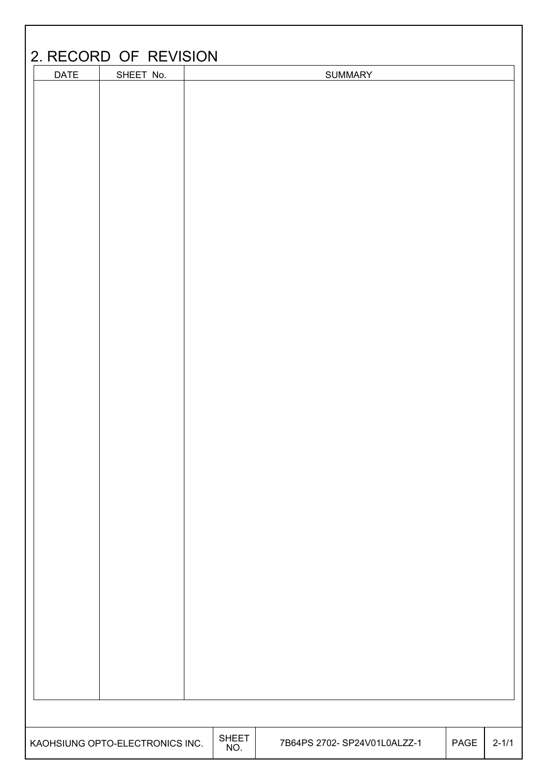| <b>DATE</b> | SHEET No. |  | <b>SUMMARY</b> |  |  |
|-------------|-----------|--|----------------|--|--|
|             |           |  |                |  |  |
|             |           |  |                |  |  |
|             |           |  |                |  |  |
|             |           |  |                |  |  |
|             |           |  |                |  |  |
|             |           |  |                |  |  |
|             |           |  |                |  |  |
|             |           |  |                |  |  |
|             |           |  |                |  |  |
|             |           |  |                |  |  |
|             |           |  |                |  |  |
|             |           |  |                |  |  |
|             |           |  |                |  |  |
|             |           |  |                |  |  |
|             |           |  |                |  |  |
|             |           |  |                |  |  |
|             |           |  |                |  |  |
|             |           |  |                |  |  |
|             |           |  |                |  |  |
|             |           |  |                |  |  |
|             |           |  |                |  |  |
|             |           |  |                |  |  |
|             |           |  |                |  |  |
|             |           |  |                |  |  |
|             |           |  |                |  |  |
|             |           |  |                |  |  |
|             |           |  |                |  |  |
|             |           |  |                |  |  |
|             |           |  |                |  |  |
|             |           |  |                |  |  |
|             |           |  |                |  |  |
|             |           |  |                |  |  |
|             |           |  |                |  |  |
|             |           |  |                |  |  |
|             |           |  |                |  |  |
|             |           |  |                |  |  |
|             |           |  |                |  |  |
|             |           |  |                |  |  |
|             |           |  |                |  |  |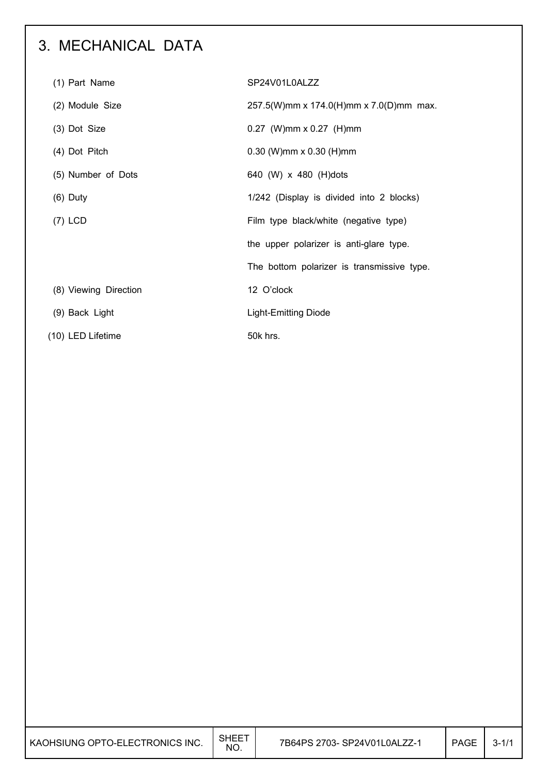## 3. MECHANICAL DATA

| (1) Part Name         | SP24V01L0ALZZ                              |
|-----------------------|--------------------------------------------|
| (2) Module Size       | 257.5(W)mm x 174.0(H)mm x 7.0(D)mm max.    |
| (3) Dot Size          | $0.27$ (W)mm x 0.27 (H)mm                  |
| (4) Dot Pitch         | $0.30$ (W)mm x $0.30$ (H)mm                |
| (5) Number of Dots    | 640 (W) x 480 (H)dots                      |
| $(6)$ Duty            | 1/242 (Display is divided into 2 blocks)   |
| $(7)$ LCD             | Film type black/white (negative type)      |
|                       | the upper polarizer is anti-glare type.    |
|                       | The bottom polarizer is transmissive type. |
| (8) Viewing Direction | 12 O'clock                                 |
| (9) Back Light        | Light-Emitting Diode                       |
| (10) LED Lifetime     | 50k hrs.                                   |

| KAOHSIUNG OPTO-ELECTRONICS INC. | <b>SHEET</b><br>NO. | 7B64PS 2703- SP24V01L0ALZZ-1 | <b>PAGE</b> | $3 - 1/1$ |
|---------------------------------|---------------------|------------------------------|-------------|-----------|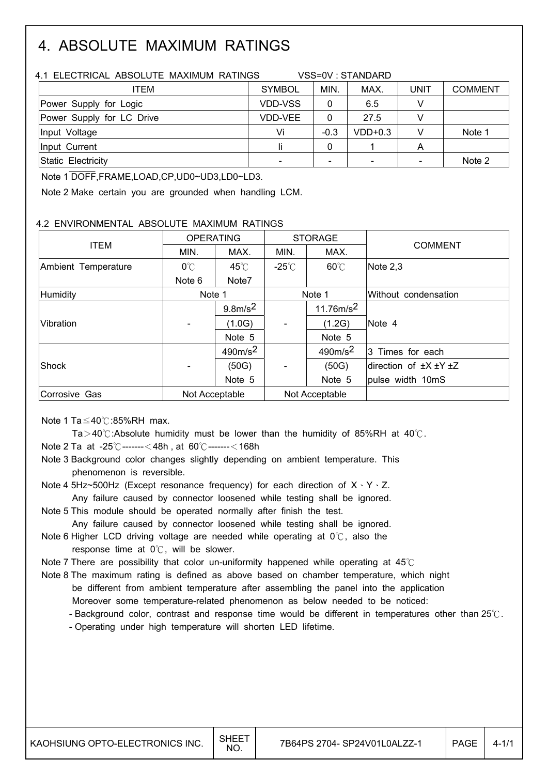## 4. ABSOLUTE MAXIMUM RATINGS

| 4.1 ELECTRICAL ABSOLUTE MAXIMUM RATINGS | VSS=0V: STANDARD |                          |           |             |                |  |  |  |
|-----------------------------------------|------------------|--------------------------|-----------|-------------|----------------|--|--|--|
| ITEM                                    | <b>SYMBOL</b>    | MIN.                     | MAX.      | <b>UNIT</b> | <b>COMMENT</b> |  |  |  |
| Power Supply for Logic                  | <b>VDD-VSS</b>   | 0                        | 6.5       |             |                |  |  |  |
| Power Supply for LC Drive               | <b>VDD-VEE</b>   | 0                        | 27.5      |             |                |  |  |  |
| Input Voltage                           | Vi               | $-0.3$                   | $VDD+0.3$ |             | Note 1         |  |  |  |
| Ilnput Current                          | Ιi               |                          |           | Α           |                |  |  |  |
| Static Electricity                      |                  | $\overline{\phantom{a}}$ |           |             | Note 2         |  |  |  |

Note 1 DOFF,FRAME,LOAD,CP,UD0~UD3,LD0~LD3.

Note 2 Make certain you are grounded when handling LCM.

### 4.2 ENVIRONMENTAL ABSOLUTE MAXIMUM RATINGS

|                     | <b>OPERATING</b> |                     |                 | <b>STORAGE</b> |                                  |  |
|---------------------|------------------|---------------------|-----------------|----------------|----------------------------------|--|
| <b>ITEM</b>         | MIN.             | MAX.                | MAX.<br>MIN.    |                | <b>COMMENT</b>                   |  |
| Ambient Temperature | $0^{\circ}$ C    | $45^{\circ}$ C      | $-25^{\circ}$ C | $60^{\circ}$ C | Note 2,3                         |  |
|                     | Note 6           | Note7               |                 |                |                                  |  |
| Humidity            | Note 1           |                     |                 | Note 1         | Without condensation             |  |
|                     |                  | $9.8m/s^2$          |                 | 11.76 $m/s^2$  |                                  |  |
| Vibration           |                  | (1.0G)              |                 | (1.2G)         | Note 4                           |  |
|                     |                  | Note 5              |                 | Note 5         |                                  |  |
|                     |                  | 490m/s <sup>2</sup> |                 | $490m/s^2$     | 3 Times for each                 |  |
| Shock               |                  | (50G)               |                 | (50G)          | direction of $\pm X \pm Y \pm Z$ |  |
|                     |                  | Note 5              |                 | Note 5         | pulse width 10mS                 |  |
| Corrosive Gas       | Not Acceptable   |                     | Not Acceptable  |                |                                  |  |

Note 1 Ta $\leq$ 40 $\degree$ C:85%RH max.

Ta > 40 $\degree$ : Absolute humidity must be lower than the humidity of 85%RH at 40 $\degree$ C.

Note 2 Ta at  $-25^{\circ}$ C-------  $<$  48h, at 60 $^{\circ}$ C-------  $<$  168h

 Note 3 Background color changes slightly depending on ambient temperature. This phenomenon is reversible.

Note 4 5Hz~500Hz (Except resonance frequency) for each direction of  $X \cdot Y \cdot Z$ . Any failure caused by connector loosened while testing shall be ignored.

Note 5 This module should be operated normally after finish the test.

Any failure caused by connector loosened while testing shall be ignored.

Note 6 Higher LCD driving voltage are needed while operating at  $0^{\circ}$ C, also the response time at  $0^{\circ}$ . will be slower.

Note 7 There are possibility that color un-uniformity happened while operating at  $45^\circ$ 

 Note 8 The maximum rating is defined as above based on chamber temperature, which night be different from ambient temperature after assembling the panel into the application Moreover some temperature-related phenomenon as below needed to be noticed:

- Background color, contrast and response time would be different in temperatures other than  $25^\circ$ .

- Operating under high temperature will shorten LED lifetime.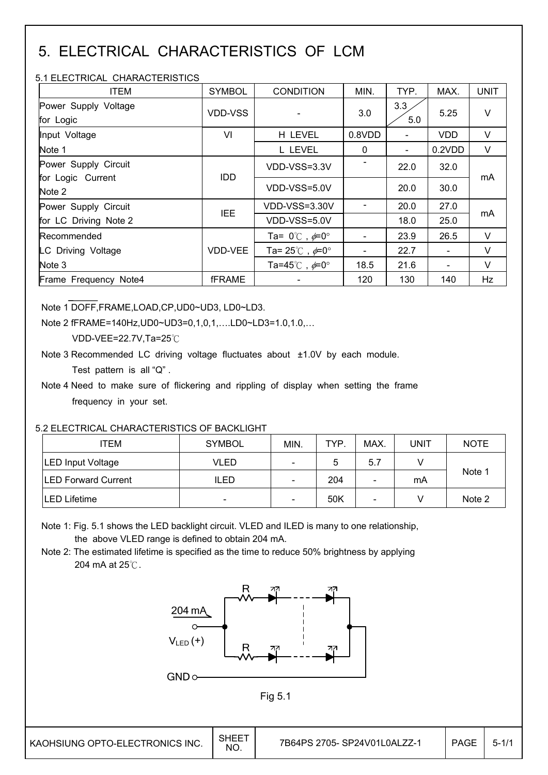## 5. ELECTRICAL CHARACTERISTICS OF LCM

### 5.1 ELECTRICAL CHARACTERISTICS

| <b>ITEM</b>                       | <b>SYMBOL</b>  | <b>CONDITION</b>                        | MIN.         | TYP.                     | MAX.       | <b>UNIT</b> |
|-----------------------------------|----------------|-----------------------------------------|--------------|--------------------------|------------|-------------|
| Power Supply Voltage<br>for Logic | <b>VDD-VSS</b> |                                         | 3.0          | 3.3<br>5.0               | 5.25       | $\vee$      |
| Input Voltage                     | VI             | H LEVEL                                 | 0.8VDD       |                          | <b>VDD</b> | V           |
| Note 1                            |                | L LEVEL                                 | $\mathbf{0}$ | $\overline{\phantom{a}}$ | 0.2VDD     | $\vee$      |
| Power Supply Circuit              |                | VDD-VSS=3.3V                            |              | 22.0                     | 32.0       |             |
| for Logic Current<br>Note 2       | <b>IDD</b>     | VDD-VSS=5.0V                            |              | 20.0                     | 30.0       | mA          |
| Power Supply Circuit              | <b>IEE</b>     | VDD-VSS=3.30V                           |              | 20.0                     | 27.0       |             |
| for LC Driving Note 2             |                | VDD-VSS=5.0V                            |              | 18.0                     | 25.0       | mA          |
| Recommended                       |                | Ta= $0^{\circ}$ C, $\neq 0^{\circ}$     |              | 23.9                     | 26.5       | $\vee$      |
| LC Driving Voltage                | VDD-VEE        | Ta= $25^{\circ}$ C, $\neq 0^{\circ}$    |              | 22.7                     |            | $\vee$      |
| Note 3                            |                | Ta=45 $^{\circ}$ C, $\neq$ 0 $^{\circ}$ | 18.5         | 21.6                     |            | V           |
| Frame Frequency Note4             | <b>fFRAME</b>  |                                         | 120          | 130                      | 140        | Hz          |

Note 1 DOFF,FRAME,LOAD,CP,UD0~UD3, LD0~LD3.

Note 2 fFRAME=140Hz,UD0~UD3=0,1,0,1,….LD0~LD3=1.0,1.0,…

VDD-VEE=22.7V,Ta=25 $°C$ 

Note 3 Recommended LC driving voltage fluctuates about ±1.0V by each module.

Test pattern is all "Q" .

 Note 4 Need to make sure of flickering and rippling of display when setting the frame frequency in your set.

## 5.2 ELECTRICAL CHARACTERISTICS OF BACKLIGHT

| ITEM                        | <b>SYMBOL</b> | MIN.                                       | TYP. | MAX. | UNIT   | <b>NOTE</b> |
|-----------------------------|---------------|--------------------------------------------|------|------|--------|-------------|
| <b>LED Input Voltage</b>    | VLED          | $\qquad \qquad \blacksquare$               | 5    | 5.7  |        |             |
| <b>ILED Forward Current</b> | <b>ILED</b>   | 204<br>mA<br>$\overline{\phantom{a}}$<br>۰ |      |      | Note 1 |             |
| <b>LED Lifetime</b>         | -             | $\overline{\phantom{a}}$                   | 50K  | -    |        | Note 2      |

 Note 1: Fig. 5.1 shows the LED backlight circuit. VLED and ILED is many to one relationship, the above VLED range is defined to obtain 204 mA.

 Note 2: The estimated lifetime is specified as the time to reduce 50% brightness by applying 204 mA at  $25^\circ$ C.



Fig 5.1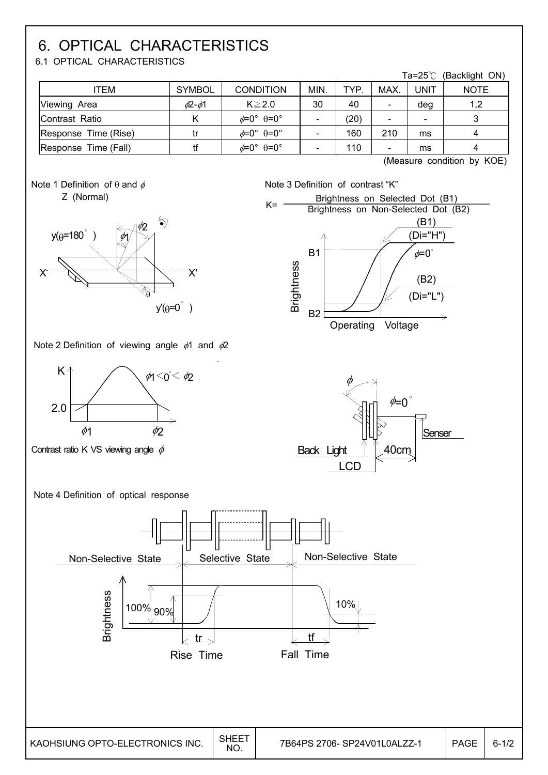## 6. OPTICAL CHARACTERISTICS

6.1 OPTICAL CHARACTERISTICS

|                      |                    |                                         |      |            |      | Ta=25℃                   | (Backlight ON) |
|----------------------|--------------------|-----------------------------------------|------|------------|------|--------------------------|----------------|
| ITEM                 | <b>SYMBOL</b>      | <b>CONDITION</b>                        | MIN. | <b>TYP</b> | MAX. | <b>UNIT</b>              | <b>NOTE</b>    |
| Viewing Area         | $\phi$ 2- $\phi$ 1 | $K \geq 2.0$                            | 30   | 40         |      | deg                      | 1,2            |
| Contrast Ratio       |                    | $\phi = 0^{\circ}$ $\theta = 0^{\circ}$ |      | (20)       |      | $\overline{\phantom{0}}$ |                |
| Response Time (Rise) |                    | $\phi = 0^{\circ}$ $\theta = 0^{\circ}$ |      | 160        | 210  | ms                       |                |
| Response Time (Fall) |                    | $\phi = 0^{\circ}$ $\theta = 0^{\circ}$ |      | 110        |      | ms                       |                |

B1

(Measure condition by KOE)

(B1) (Di="H")  $\phi = 0^\circ$ 





Note 2 Definition of viewing angle  $\phi$ 1 and  $\phi$ 2



Contrast ratio K VS viewing angle  $\phi$ 



Brightness on Selected Dot (B1)

 $K =$  Brightness on Non-Selected Dot (B2)







.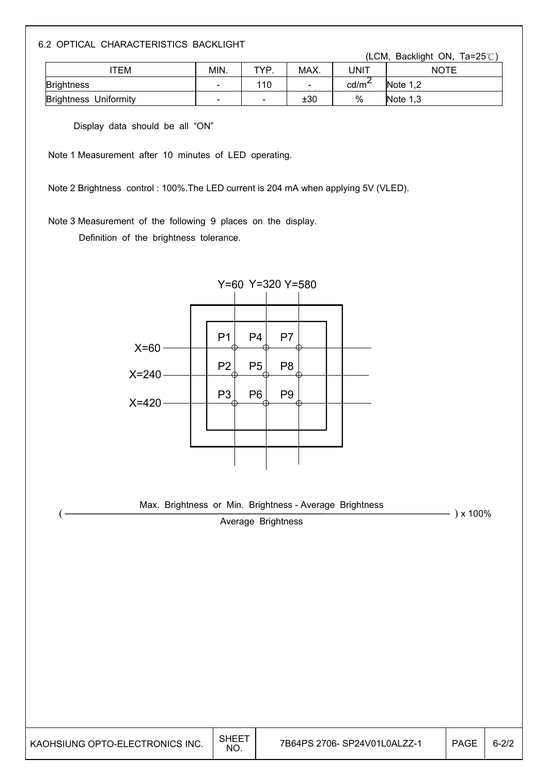6.2 OPTICAL CHARACTERISTICS BACKLIGHT

(LCM, Backlight ON, Ta=25 $^{\circ}$ C)

| TEM                             | MIN.                     | TVP | MAX.                     | JNIT              | <b>NOTE</b> |
|---------------------------------|--------------------------|-----|--------------------------|-------------------|-------------|
| <b>Brightness</b>               | $\overline{\phantom{a}}$ | 110 | $\overline{\phantom{a}}$ | cd/m <sup>2</sup> | Note $1,2$  |
| Uniformity<br><b>Brightness</b> | $\sim$                   | -   | ±30                      | $\%$              | Note $1,3$  |

Display data should be all "ON"

Note 1 Measurement after 10 minutes of LED operating.

Note 2 Brightness control : 100%.The LED current is 204 mA when applying 5V (VLED).

Note 3 Measurement of the following 9 places on the display.

Definition of the brightness tolerance.



Max. Brightness or Min. Brightness - Average Brightness  $\frac{3}{2}$  x 100%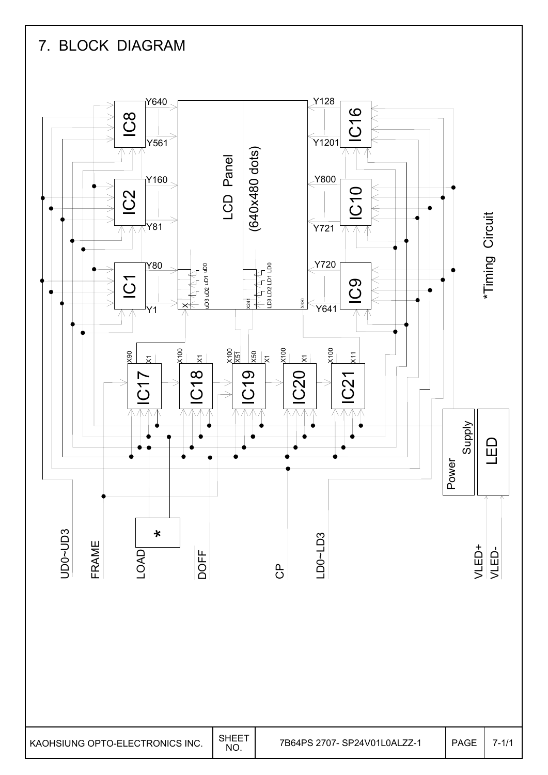## 7. BLOCK DIAGRAM

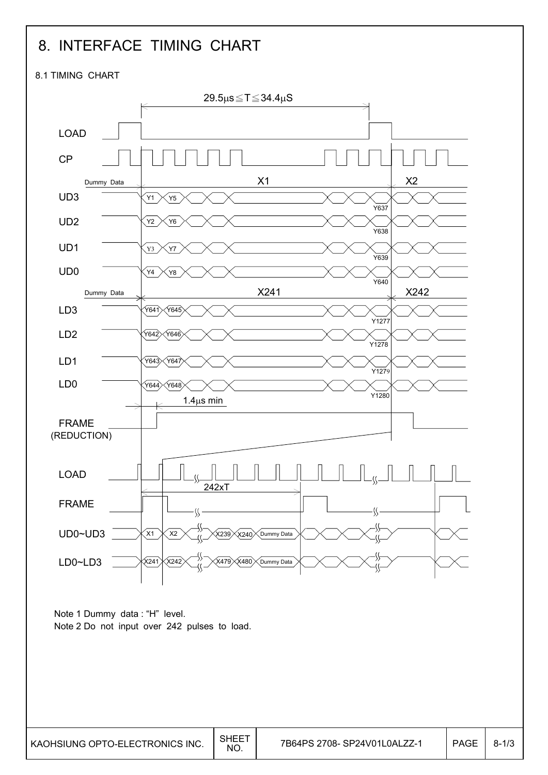## 8. INTERFACE TIMING CHART

8.1 TIMING CHART

 $\overline{\phantom{a}}$ 

L

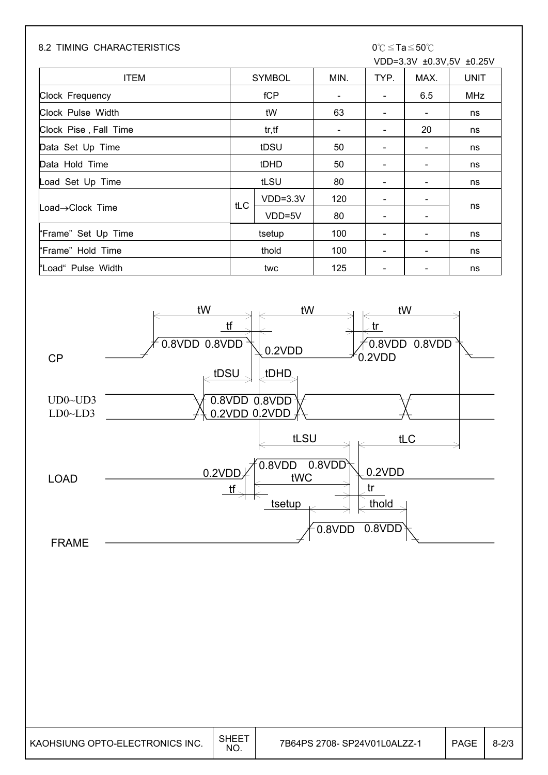### 8.2 TIMING CHARACTERISTICS  $0^{\circ}C \leq Ta \leq 50^{\circ}C$

# VDD=3.3V ±0.3V,5V ±0.25V

| <b>ITEM</b>           | <b>SYMBOL</b> |            | MIN.                     | TYP.                     | MAX.                     | <b>UNIT</b> |
|-----------------------|---------------|------------|--------------------------|--------------------------|--------------------------|-------------|
| Clock Frequency       | fCP           |            | $\overline{\phantom{a}}$ | $\overline{\phantom{a}}$ | 6.5                      | <b>MHz</b>  |
| Clock Pulse Width     |               | tW         | 63                       |                          | $\overline{\phantom{a}}$ | ns          |
| Clock Pise, Fall Time |               | tr, tf     | $\overline{\phantom{a}}$ |                          | 20                       | ns          |
| Data Set Up Time      |               | tDSU       | 50                       |                          | -                        | ns          |
| Data Hold Time        | tDHD          |            | 50                       |                          | $\overline{\phantom{a}}$ | ns          |
| Load Set Up Time      |               | tLSU       | 80                       |                          | $\overline{\phantom{a}}$ | ns          |
|                       | tLC           | $VDD=3.3V$ | 120                      |                          | $\overline{\phantom{a}}$ |             |
| Load→Clock Time       |               | VDD=5V     | 80                       |                          | $\blacksquare$           | ns          |
| "Frame" Set Up Time   | tsetup        |            | 100                      |                          | $\overline{\phantom{a}}$ | ns          |
| "Frame" Hold Time     | thold         |            | 100                      |                          | $\overline{\phantom{a}}$ | ns          |
| "Load" Pulse Width    |               | twc        | 125                      |                          | $\overline{\phantom{a}}$ | ns          |



| KAOHSIUNG OPTO-ELECTRONICS INC. | <b>SHEET</b><br>NO. | 7B64PS 2708- SP24V01L0ALZZ-1 | <b>PAGE</b> | $8 - 2/3$ |
|---------------------------------|---------------------|------------------------------|-------------|-----------|
|---------------------------------|---------------------|------------------------------|-------------|-----------|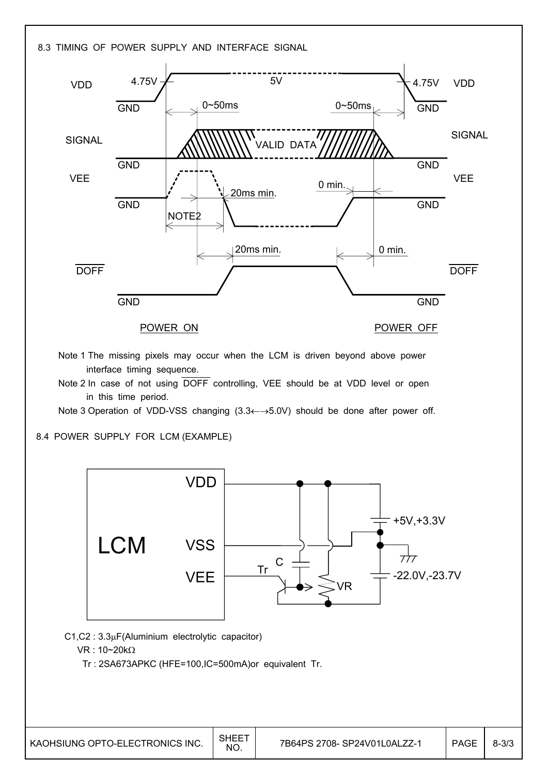

Tr C

- $C1, C2$  :  $3.3\mu F$ (Aluminium electrolytic capacitor)
	- $VR: 10~20 k\Omega$

LCM

Tr : 2SA673APKC (HFE=100,IC=500mA)or equivalent Tr.

**VSS** 

**VEE** 

VR

-22.0V,-23.7V

 $777$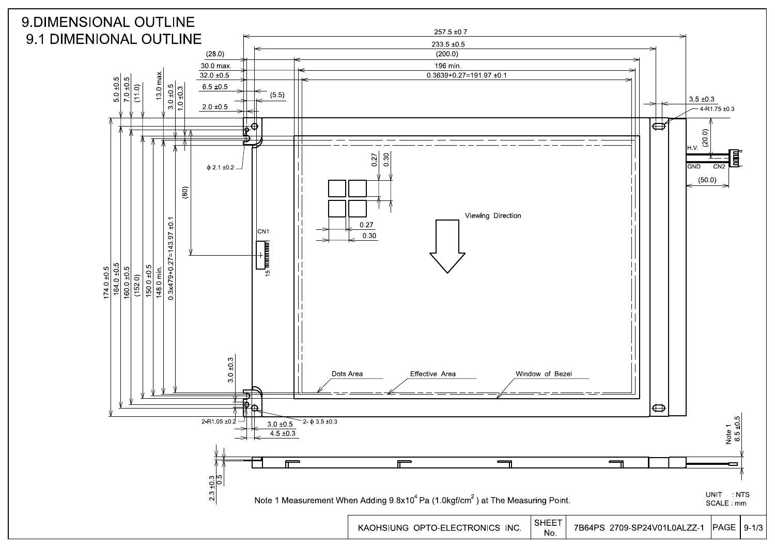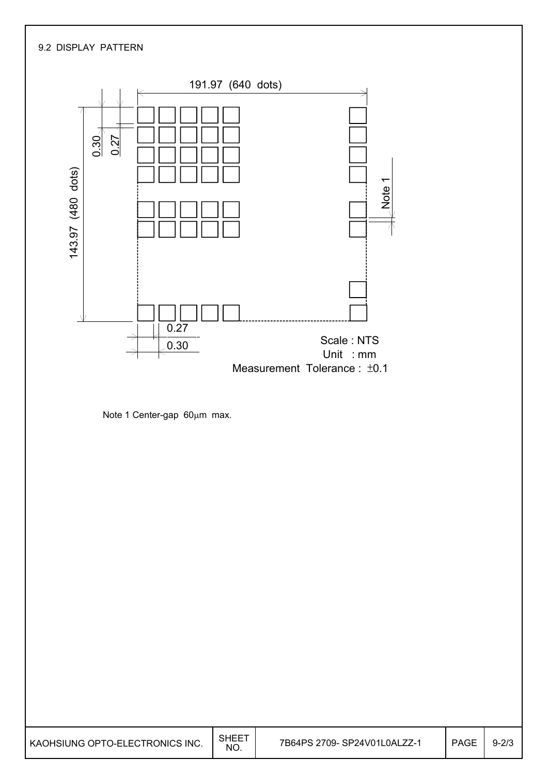## 9.2 DISPLAY PATTERN



Note 1 Center-gap  $60\mu m$  max.

| I KAOHSIUNG OPTO-ELECTRONICS INC. | <b>SHEET</b><br><b>NO</b> | 7B64PS 2709- SP24V01L0ALZZ-1 | <b>PAGE</b> | $9 - 2/3$ |
|-----------------------------------|---------------------------|------------------------------|-------------|-----------|
|-----------------------------------|---------------------------|------------------------------|-------------|-----------|

٦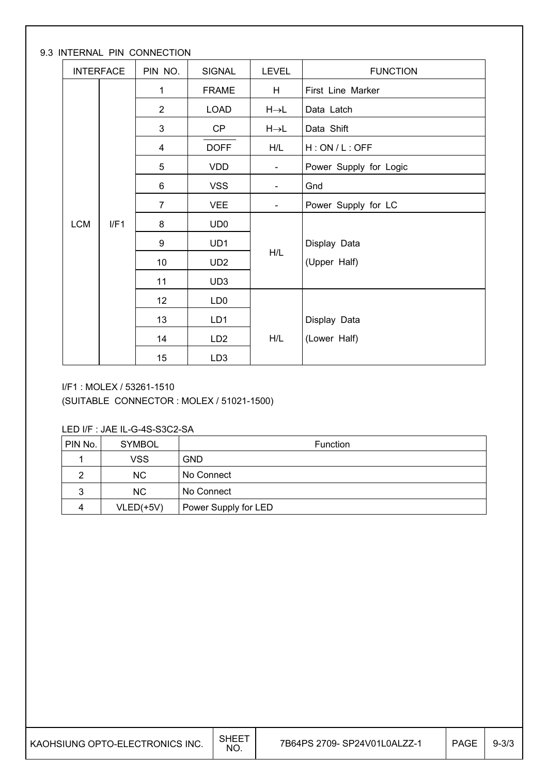### 9.3 INTERNAL PIN CONNECTION

|            | <b>INTERFACE</b> | PIN NO.        | <b>SIGNAL</b>   | LEVEL                    | <b>FUNCTION</b>        |
|------------|------------------|----------------|-----------------|--------------------------|------------------------|
|            | $\mathbf{1}$     |                | <b>FRAME</b>    | H                        | First Line Marker      |
|            |                  | $\overline{2}$ | <b>LOAD</b>     | $H\rightarrow L$         | Data Latch             |
|            |                  | 3              | CP              | $H\rightarrow L$         | Data Shift             |
|            |                  | 4              | <b>DOFF</b>     | H/L                      | H:ON/L:OFF             |
|            |                  | 5              | <b>VDD</b>      | $\blacksquare$           | Power Supply for Logic |
|            |                  | 6              | <b>VSS</b>      | $\blacksquare$           | Gnd                    |
|            | $\overline{7}$   |                | <b>VEE</b>      | $\overline{\phantom{a}}$ | Power Supply for LC    |
| <b>LCM</b> | I/F1             | 8              | UD <sub>0</sub> |                          |                        |
|            |                  | 9              | UD1             |                          | Display Data           |
|            |                  | 10             | UD <sub>2</sub> | H/L                      | (Upper Half)           |
|            |                  | 11             | UD <sub>3</sub> |                          |                        |
|            |                  | 12             | LD <sub>0</sub> |                          |                        |
|            |                  | 13             | LD1             |                          | Display Data           |
|            |                  | 14             | LD <sub>2</sub> | H/L                      | (Lower Half)           |
|            |                  | 15             | LD <sub>3</sub> |                          |                        |

I/F1 : MOLEX / 53261-1510

(SUITABLE CONNECTOR : MOLEX / 51021-1500)

LED I/F : JAE IL-G-4S-S3C2-SA

| PIN No. | <b>SYMBOL</b> | Function             |
|---------|---------------|----------------------|
|         | <b>VSS</b>    | <b>GND</b>           |
| ົ       | <b>NC</b>     | No Connect           |
| 3       | NC.           | No Connect           |
| 4       | $VLED(+5V)$   | Power Supply for LED |

| I KAOHSIUNG OPTO-ELECTRONICS INC. | <b>SHEET</b><br>NO. | 7B64PS 2709- SP24V01L0ALZZ-1 | <b>PAGE</b> | $9 - 3/3$ |
|-----------------------------------|---------------------|------------------------------|-------------|-----------|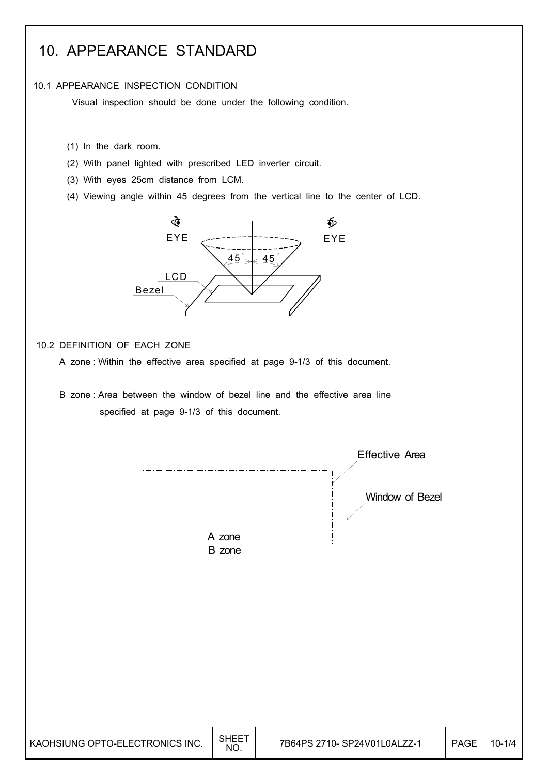## 10. APPEARANCE STANDARD

#### 10.1 APPEARANCE INSPECTION CONDITION

Visual inspection should be done under the following condition.

- (1) In the dark room.
- (2) With panel lighted with prescribed LED inverter circuit.
- (3) With eyes 25cm distance from LCM.
- (4) Viewing angle within 45 degrees from the vertical line to the center of LCD.



### 10.2 DEFINITION OF EACH ZONE

- A zone : Within the effective area specified at page 9-1/3 of this document.
- B zone : Area between the window of bezel line and the effective area line specified at page 9-1/3 of this document.

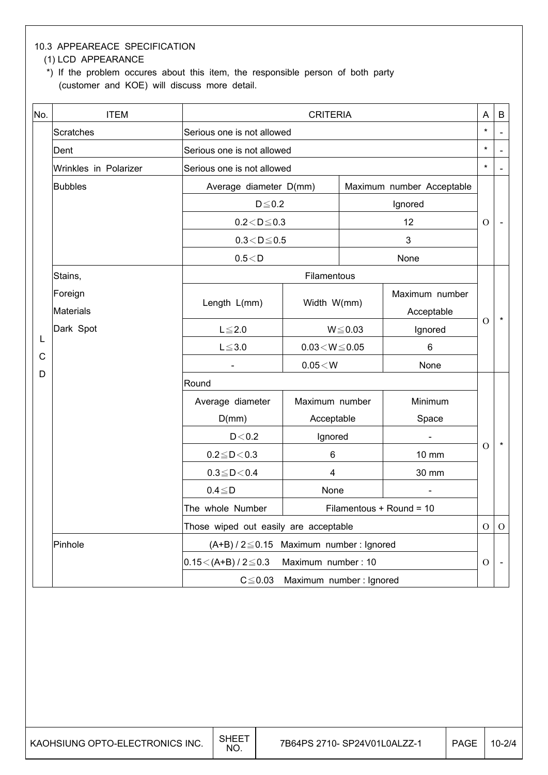## 10.3 APPEAREACE SPECIFICATION

### (1) LCD APPEARANCE

 \*) If the problem occures about this item, the responsible person of both party (customer and KOE) will discuss more detail.

| No.    | <b>ITEM</b>           |                                                  | <b>CRITERIA</b>         |                           |                |               |                          |
|--------|-----------------------|--------------------------------------------------|-------------------------|---------------------------|----------------|---------------|--------------------------|
|        | <b>Scratches</b>      | Serious one is not allowed                       |                         |                           |                | $\star$       | $\overline{\phantom{a}}$ |
|        | Dent                  | Serious one is not allowed                       |                         |                           |                | $\star$       |                          |
|        | Wrinkles in Polarizer | Serious one is not allowed                       |                         |                           |                | $\star$       |                          |
|        | <b>Bubbles</b>        | Average diameter D(mm)                           |                         | Maximum number Acceptable |                |               |                          |
|        |                       | $D \le 0.2$                                      |                         |                           | Ignored        |               |                          |
|        |                       | $0.2 < D \leq 0.3$                               |                         |                           | 12             | $\Omega$      |                          |
|        |                       | $0.3\!<\!D\!\leq\!0.5$                           |                         |                           | 3              |               |                          |
|        |                       | 0.5 < D                                          |                         |                           | None           |               |                          |
|        | Stains,               |                                                  | Filamentous             |                           |                |               |                          |
|        | Foreign               |                                                  |                         |                           | Maximum number |               |                          |
|        | Materials             | Length L(mm)                                     | Width W(mm)             |                           | Acceptable     | $\Omega$      | $\star$                  |
|        | Dark Spot             | $L \leq 2.0$                                     | $W \le 0.03$            |                           | Ignored        |               |                          |
| L      |                       | $L \le 3.0$                                      | $0.03 \leq W \leq 0.05$ |                           | 6              |               |                          |
| C<br>D |                       |                                                  | $0.05\!<\!W$            |                           | None           |               |                          |
|        |                       | Round                                            |                         |                           |                |               |                          |
|        |                       | Average diameter                                 | Maximum number          |                           | Minimum        |               |                          |
|        |                       | D(mm)                                            | Acceptable              |                           | Space          |               |                          |
|        |                       | D < 0.2                                          | Ignored                 |                           |                | $\Omega$      | $\star$                  |
|        |                       | $0.2 \le D < 0.3$                                | 6                       |                           | 10 mm          |               |                          |
|        |                       | $0.3 \le D < 0.4$                                | 4                       | 30 mm                     |                |               |                          |
|        |                       | $0.4 \leq D$                                     | None                    |                           |                |               |                          |
|        |                       | The whole Number<br>Filamentous + Round = 10     |                         |                           |                |               |                          |
|        |                       | Those wiped out easily are acceptable            |                         |                           |                |               | ${\cal O}$               |
|        | Pinhole               | $(A+B)$ / 2 $\leq$ 0.15 Maximum number : Ignored |                         |                           |                |               |                          |
|        |                       | $0.15 < (A+B)/2 \le 0.3$                         | Maximum number: 10      |                           |                | $\mathcal{O}$ |                          |
|        |                       | $C \leq 0.03$                                    | Maximum number: Ignored |                           |                |               |                          |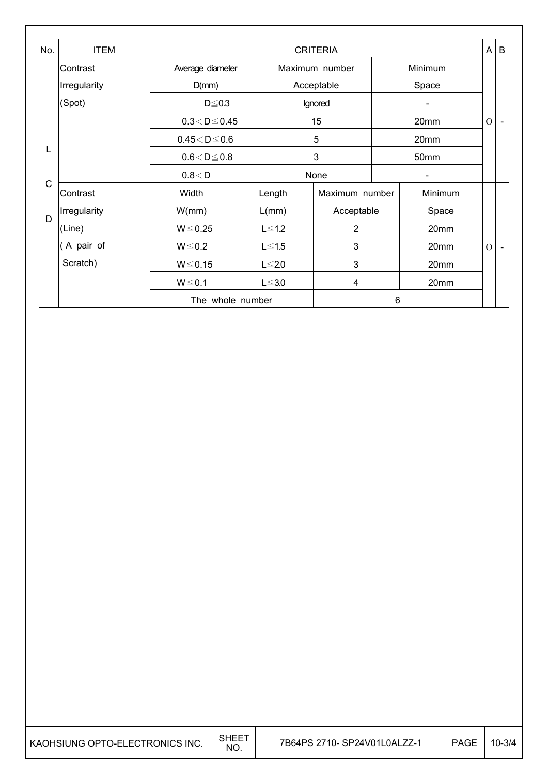| No.          | <b>ITEM</b>  | <b>CRITERIA</b>    |  |              |                |   | A       | $\sf B$        |                |
|--------------|--------------|--------------------|--|--------------|----------------|---|---------|----------------|----------------|
|              | Contrast     | Average diameter   |  |              | Maximum number |   | Minimum |                |                |
|              | Irregularity | D(mm)              |  |              | Acceptable     |   | Space   |                |                |
|              | (Spot)       | $D \le 0.3$        |  |              | Ignored        |   |         |                |                |
|              |              | $0.3 < D \le 0.45$ |  |              | 15             |   | 20mm    | $\mathbf O$    | $\blacksquare$ |
|              |              | $0.45 < D \le 0.6$ |  |              | 5              |   | 20mm    |                |                |
| L            |              | $0.6 < D \le 0.8$  |  |              | 3              |   | 50mm    |                |                |
|              |              | 0.8 < D            |  |              | None           |   |         |                |                |
| $\mathsf{C}$ | Contrast     | Width              |  | Length       | Maximum number |   | Minimum |                |                |
|              | Irregularity | W(mm)              |  | $L/mm$ )     | Acceptable     |   | Space   |                |                |
| D            | (Line)       | $W \le 0.25$       |  | $L \leq 1.2$ | $\overline{2}$ |   | 20mm    |                |                |
|              | (A pair of   | $W \le 0.2$        |  | $L \leq 1.5$ | 3              |   | 20mm    | $\overline{O}$ |                |
|              | Scratch)     | $W \le 0.15$       |  | $L \leq 2.0$ | 3              |   | 20mm    |                |                |
|              |              | $W \le 0.1$        |  | $L \leq 3.0$ | 4              |   | 20mm    |                |                |
|              |              | The whole number   |  |              |                | 6 |         |                |                |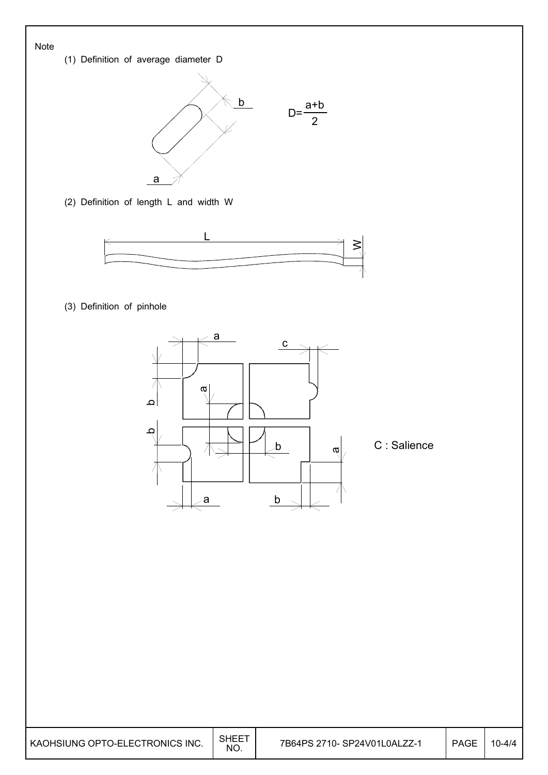#### Note

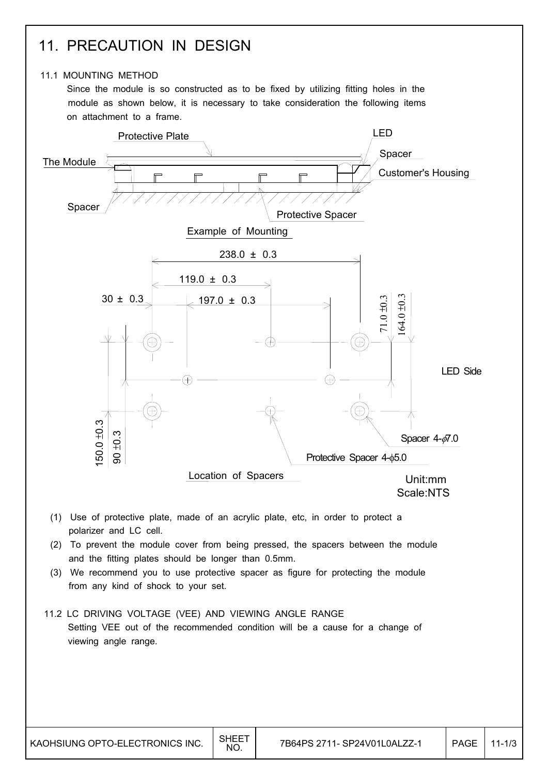## 11. PRECAUTION IN DESIGN

### 11.1 MOUNTING METHOD

 Since the module is so constructed as to be fixed by utilizing fitting holes in the module as shown below, it is necessary to take consideration the following items on attachment to a frame.

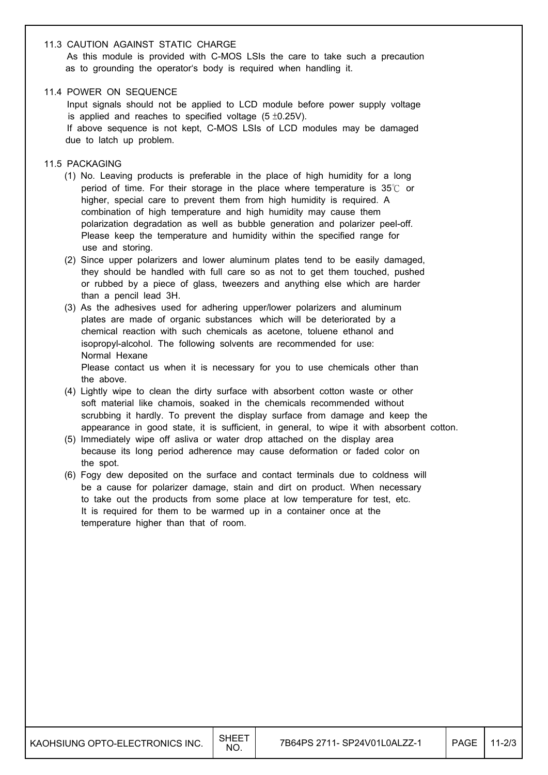#### 11.3 CAUTION AGAINST STATIC CHARGE

 As this module is provided with C-MOS LSIs the care to take such a precaution as to grounding the operator's body is required when handling it.

#### 11.4 POWER ON SEQUENCE

 Input signals should not be applied to LCD module before power supply voltage is applied and reaches to specified voltage  $(5 \pm 0.25V)$ .

 If above sequence is not kept, C-MOS LSIs of LCD modules may be damaged due to latch up problem.

- 11.5 PACKAGING
	- (1) No. Leaving products is preferable in the place of high humidity for a long period of time. For their storage in the place where temperature is  $35^\circ$  or higher, special care to prevent them from high humidity is required. A combination of high temperature and high humidity may cause them polarization degradation as well as bubble generation and polarizer peel-off. Please keep the temperature and humidity within the specified range for use and storing.
	- (2) Since upper polarizers and lower aluminum plates tend to be easily damaged, they should be handled with full care so as not to get them touched, pushed or rubbed by a piece of glass, tweezers and anything else which are harder than a pencil lead 3H.
	- (3) As the adhesives used for adhering upper/lower polarizers and aluminum plates are made of organic substances which will be deteriorated by a chemical reaction with such chemicals as acetone, toluene ethanol and isopropyl-alcohol. The following solvents are recommended for use: Normal Hexane Please contact us when it is necessary for you to use chemicals other than the above.
	- (4) Lightly wipe to clean the dirty surface with absorbent cotton waste or other soft material like chamois, soaked in the chemicals recommended without scrubbing it hardly. To prevent the display surface from damage and keep the appearance in good state, it is sufficient, in general, to wipe it with absorbent cotton.
	- (5) Immediately wipe off asliva or water drop attached on the display area because its long period adherence may cause deformation or faded color on the spot.
	- (6) Fogy dew deposited on the surface and contact terminals due to coldness will be a cause for polarizer damage, stain and dirt on product. When necessary to take out the products from some place at low temperature for test, etc. It is required for them to be warmed up in a container once at the temperature higher than that of room.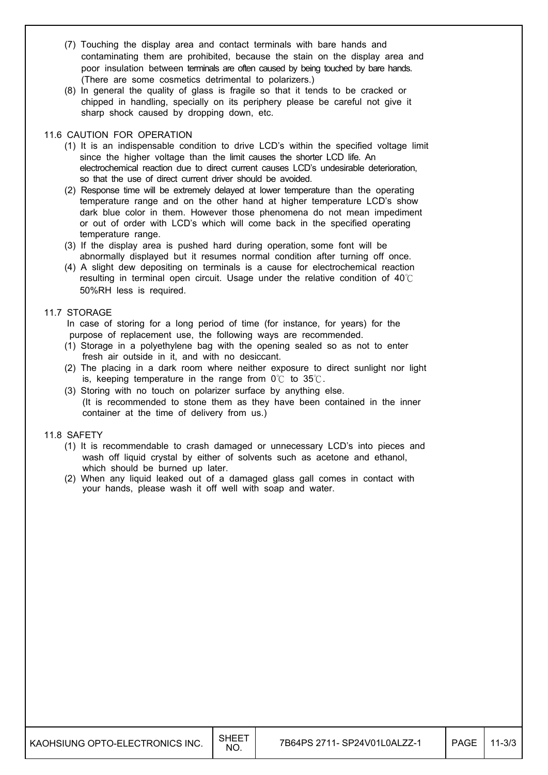- (7) Touching the display area and contact terminals with bare hands and contaminating them are prohibited, because the stain on the display area and poor insulation between terminals are often caused by being touched by bare hands. (There are some cosmetics detrimental to polarizers.)
- (8) In general the quality of glass is fragile so that it tends to be cracked or chipped in handling, specially on its periphery please be careful not give it sharp shock caused by dropping down, etc.

#### 11.6 CAUTION FOR OPERATION

- (1) It is an indispensable condition to drive LCD's within the specified voltage limit since the higher voltage than the limit causes the shorter LCD life. An electrochemical reaction due to direct current causes LCD's undesirable deterioration, so that the use of direct current driver should be avoided.
- (2) Response time will be extremely delayed at lower temperature than the operating temperature range and on the other hand at higher temperature LCD's show dark blue color in them. However those phenomena do not mean impediment or out of order with LCD's which will come back in the specified operating temperature range.
- (3) If the display area is pushed hard during operation, some font will be abnormally displayed but it resumes normal condition after turning off once.
- (4) A slight dew depositing on terminals is a cause for electrochemical reaction resulting in terminal open circuit. Usage under the relative condition of  $40\degree$ C 50%RH less is required.

#### 11.7 STORAGE

 In case of storing for a long period of time (for instance, for years) for the purpose of replacement use, the following ways are recommended.

- (1) Storage in a polyethylene bag with the opening sealed so as not to enter fresh air outside in it, and with no desiccant.
- (2) The placing in a dark room where neither exposure to direct sunlight nor light is, keeping temperature in the range from  $0^{\circ}$  to 35 $^{\circ}$ .
- (3) Storing with no touch on polarizer surface by anything else. (It is recommended to stone them as they have been contained in the inner container at the time of delivery from us.)

#### 11.8 SAFETY

- (1) It is recommendable to crash damaged or unnecessary LCD's into pieces and wash off liquid crystal by either of solvents such as acetone and ethanol, which should be burned up later.
- (2) When any liquid leaked out of a damaged glass gall comes in contact with your hands, please wash it off well with soap and water.

| KAOHSIUNG OPTO-ELECTRONICS INC. | SHEET<br>NO. | 7B64PS 2711- SP24V01L0ALZZ-1 | <b>PAGE</b> | 11-3/3 |
|---------------------------------|--------------|------------------------------|-------------|--------|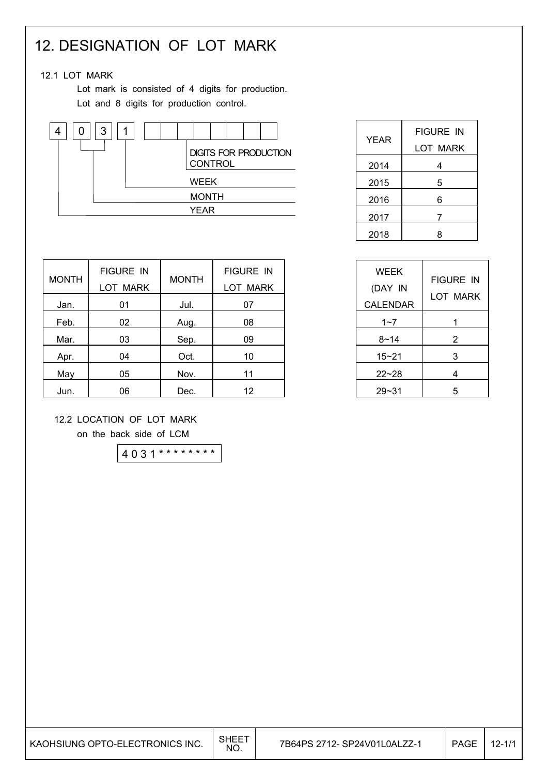## 12. DESIGNATION OF LOT MARK

### 12.1 LOT MARK

 Lot mark is consisted of 4 digits for production. Lot and 8 digits for production control.



| <b>YEAR</b> | <b>FIGURE IN</b> |
|-------------|------------------|
|             | LOT MARK         |
| 2014        | 4                |
| 2015        | 5                |
| 2016        | 6                |
| 2017        | 7                |
| 2018        | 8                |

 $1~-7$  1  $8~14$  2  $15 - 21$  3  $22~28$  4  $29 - 31$  5

FIGURE IN LOT MARK

WEEK (DAY IN CALENDAR

|              | <b>FIGURE IN</b> |              | <b>FIGURE IN</b> |
|--------------|------------------|--------------|------------------|
| <b>MONTH</b> | <b>LOT MARK</b>  | <b>MONTH</b> | <b>LOT MARK</b>  |
| Jan.         | 01               | Jul.         | 07               |
| Feb.         | 02               | Aug.         | 08               |
| Mar.         | 03               | Sep.         | 09               |
| Apr.         | 04               | Oct.         | 10               |
| May          | 05               | Nov.         | 11               |
| Jun.         | 06               | Dec.         | 12               |

### 12.2 LOCATION OF LOT MARK

on the back side of LCM